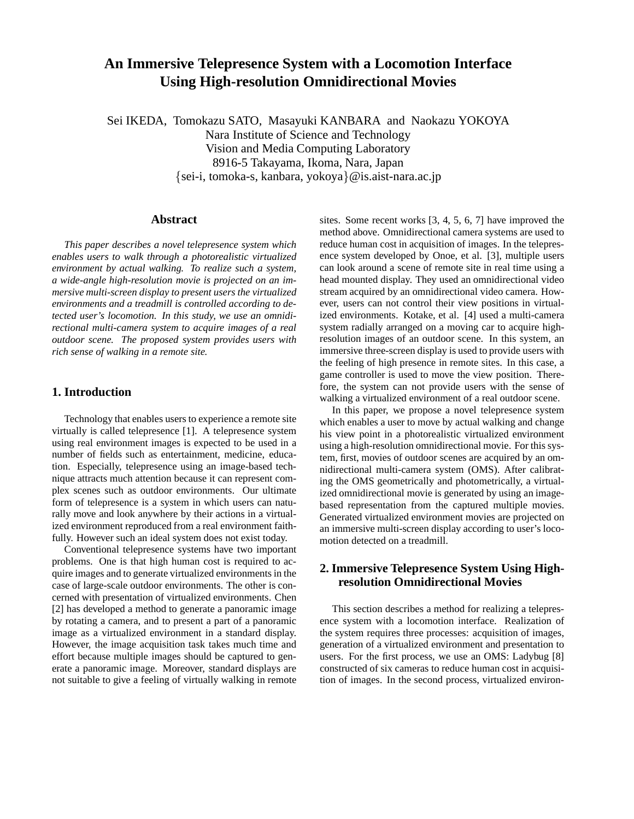# **An Immersive Telepresence System with a Locomotion Interface Using High-resolution Omnidirectional Movies**

Sei IKEDA, Tomokazu SATO, Masayuki KANBARA and Naokazu YOKOYA Nara Institute of Science and Technology Vision and Media Computing Laboratory 8916-5 Takayama, Ikoma, Nara, Japan *{*sei-i, tomoka-s, kanbara, yokoya*}*@is.aist-nara.ac.jp

## **Abstract**

*This paper describes a novel telepresence system which enables users to walk through a photorealistic virtualized environment by actual walking. To realize such a system, a wide-angle high-resolution movie is projected on an immersive multi-screen display to present users the virtualized environments and a treadmill is controlled according to detected user's locomotion. In this study, we use an omnidirectional multi-camera system to acquire images of a real outdoor scene. The proposed system provides users with rich sense of walking in a remote site.*

# **1. Introduction**

Technology that enables users to experience a remote site virtually is called telepresence [1]. A telepresence system using real environment images is expected to be used in a number of fields such as entertainment, medicine, education. Especially, telepresence using an image-based technique attracts much attention because it can represent complex scenes such as outdoor environments. Our ultimate form of telepresence is a system in which users can naturally move and look anywhere by their actions in a virtualized environment reproduced from a real environment faithfully. However such an ideal system does not exist today.

Conventional telepresence systems have two important problems. One is that high human cost is required to acquire images and to generate virtualized environments in the case of large-scale outdoor environments. The other is concerned with presentation of virtualized environments. Chen [2] has developed a method to generate a panoramic image by rotating a camera, and to present a part of a panoramic image as a virtualized environment in a standard display. However, the image acquisition task takes much time and effort because multiple images should be captured to generate a panoramic image. Moreover, standard displays are not suitable to give a feeling of virtually walking in remote

sites. Some recent works [3, 4, 5, 6, 7] have improved the method above. Omnidirectional camera systems are used to reduce human cost in acquisition of images. In the telepresence system developed by Onoe, et al. [3], multiple users can look around a scene of remote site in real time using a head mounted display. They used an omnidirectional video stream acquired by an omnidirectional video camera. However, users can not control their view positions in virtualized environments. Kotake, et al. [4] used a multi-camera system radially arranged on a moving car to acquire highresolution images of an outdoor scene. In this system, an immersive three-screen display is used to provide users with the feeling of high presence in remote sites. In this case, a game controller is used to move the view position. Therefore, the system can not provide users with the sense of walking a virtualized environment of a real outdoor scene.

In this paper, we propose a novel telepresence system which enables a user to move by actual walking and change his view point in a photorealistic virtualized environment using a high-resolution omnidirectional movie. For this system, first, movies of outdoor scenes are acquired by an omnidirectional multi-camera system (OMS). After calibrating the OMS geometrically and photometrically, a virtualized omnidirectional movie is generated by using an imagebased representation from the captured multiple movies. Generated virtualized environment movies are projected on an immersive multi-screen display according to user's locomotion detected on a treadmill.

# **2. Immersive Telepresence System Using Highresolution Omnidirectional Movies**

This section describes a method for realizing a telepresence system with a locomotion interface. Realization of the system requires three processes: acquisition of images, generation of a virtualized environment and presentation to users. For the first process, we use an OMS: Ladybug [8] constructed of six cameras to reduce human cost in acquisition of images. In the second process, virtualized environ-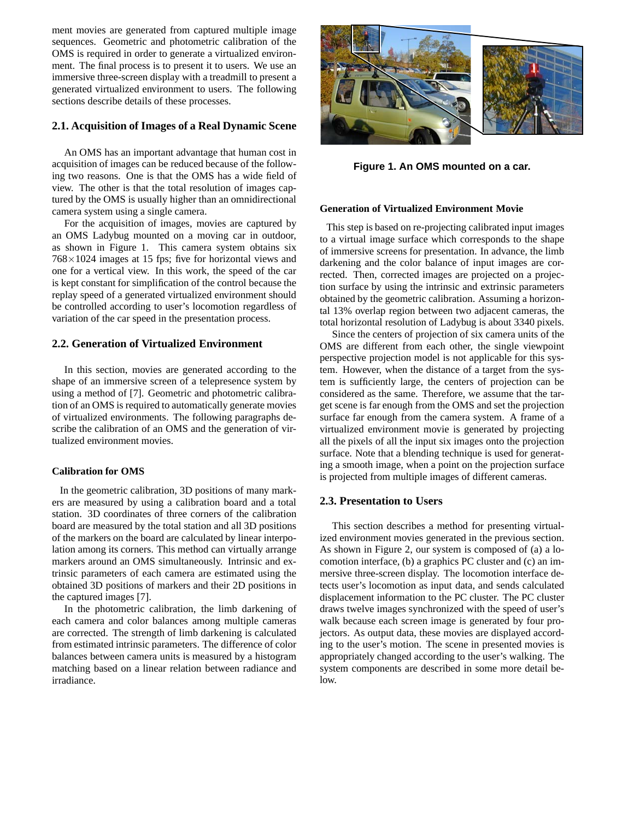ment movies are generated from captured multiple image sequences. Geometric and photometric calibration of the OMS is required in order to generate a virtualized environment. The final process is to present it to users. We use an immersive three-screen display with a treadmill to present a generated virtualized environment to users. The following sections describe details of these processes.

## **2.1. Acquisition of Images of a Real Dynamic Scene**

An OMS has an important advantage that human cost in acquisition of images can be reduced because of the following two reasons. One is that the OMS has a wide field of view. The other is that the total resolution of images captured by the OMS is usually higher than an omnidirectional camera system using a single camera.

For the acquisition of images, movies are captured by an OMS Ladybug mounted on a moving car in outdoor, as shown in Figure 1. This camera system obtains six 768*×*1024 images at 15 fps; five for horizontal views and one for a vertical view. In this work, the speed of the car is kept constant for simplification of the control because the replay speed of a generated virtualized environment should be controlled according to user's locomotion regardless of variation of the car speed in the presentation process.

## **2.2. Generation of Virtualized Environment**

In this section, movies are generated according to the shape of an immersive screen of a telepresence system by using a method of [7]. Geometric and photometric calibration of an OMS is required to automatically generate movies of virtualized environments. The following paragraphs describe the calibration of an OMS and the generation of virtualized environment movies.

#### **Calibration for OMS**

In the geometric calibration, 3D positions of many markers are measured by using a calibration board and a total station. 3D coordinates of three corners of the calibration board are measured by the total station and all 3D positions of the markers on the board are calculated by linear interpolation among its corners. This method can virtually arrange markers around an OMS simultaneously. Intrinsic and extrinsic parameters of each camera are estimated using the obtained 3D positions of markers and their 2D positions in the captured images [7].

In the photometric calibration, the limb darkening of each camera and color balances among multiple cameras are corrected. The strength of limb darkening is calculated from estimated intrinsic parameters. The difference of color balances between camera units is measured by a histogram matching based on a linear relation between radiance and irradiance.



**Figure 1. An OMS mounted on a car.**

#### **Generation of Virtualized Environment Movie**

This step is based on re-projecting calibrated input images to a virtual image surface which corresponds to the shape of immersive screens for presentation. In advance, the limb darkening and the color balance of input images are corrected. Then, corrected images are projected on a projection surface by using the intrinsic and extrinsic parameters obtained by the geometric calibration. Assuming a horizontal 13% overlap region between two adjacent cameras, the total horizontal resolution of Ladybug is about 3340 pixels.

Since the centers of projection of six camera units of the OMS are different from each other, the single viewpoint perspective projection model is not applicable for this system. However, when the distance of a target from the system is sufficiently large, the centers of projection can be considered as the same. Therefore, we assume that the target scene is far enough from the OMS and set the projection surface far enough from the camera system. A frame of a virtualized environment movie is generated by projecting all the pixels of all the input six images onto the projection surface. Note that a blending technique is used for generating a smooth image, when a point on the projection surface is projected from multiple images of different cameras.

## **2.3. Presentation to Users**

This section describes a method for presenting virtualized environment movies generated in the previous section. As shown in Figure 2, our system is composed of (a) a locomotion interface, (b) a graphics PC cluster and (c) an immersive three-screen display. The locomotion interface detects user's locomotion as input data, and sends calculated displacement information to the PC cluster. The PC cluster draws twelve images synchronized with the speed of user's walk because each screen image is generated by four projectors. As output data, these movies are displayed according to the user's motion. The scene in presented movies is appropriately changed according to the user's walking. The system components are described in some more detail below.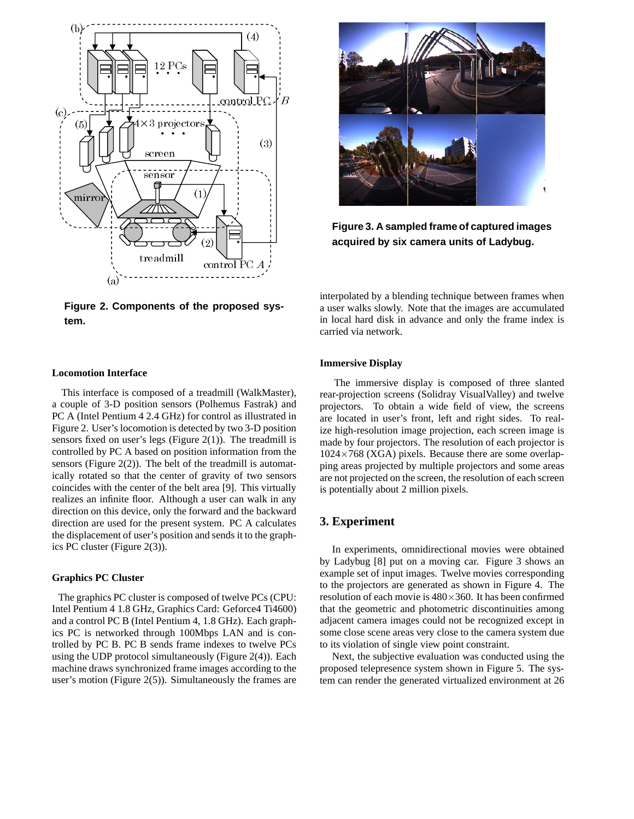

**Figure 3. A sampled frame of captured images acquired by six camera units of Ladybug.**

**Figure 2. Components of the proposed system.**

#### **Locomotion Interface**

This interface is composed of a treadmill (WalkMaster), a couple of 3-D position sensors (Polhemus Fastrak) and PC A (Intel Pentium 4 2.4 GHz) for control as illustrated in Figure 2. User's locomotion is detected by two 3-D position sensors fixed on user's legs (Figure 2(1)). The treadmill is controlled by PC A based on position information from the sensors (Figure  $2(2)$ ). The belt of the treadmill is automatically rotated so that the center of gravity of two sensors coincides with the center of the belt area [9]. This virtually realizes an infinite floor. Although a user can walk in any direction on this device, only the forward and the backward direction are used for the present system. PC A calculates the displacement of user's position and sends it to the graphics PC cluster (Figure 2(3)).

#### **Graphics PC Cluster**

The graphics PC cluster is composed of twelve PCs (CPU: Intel Pentium 4 1.8 GHz, Graphics Card: Geforce4 Ti4600) and a control PC B (Intel Pentium 4, 1.8 GHz). Each graphics PC is networked through 100Mbps LAN and is controlled by PC B. PC B sends frame indexes to twelve PCs using the UDP protocol simultaneously (Figure 2(4)). Each machine draws synchronized frame images according to the user's motion (Figure 2(5)). Simultaneously the frames are

interpolated by a blending technique between frames when a user walks slowly. Note that the images are accumulated in local hard disk in advance and only the frame index is carried via network.

#### **Immersive Display**

The immersive display is composed of three slanted rear-projection screens (Solidray VisualValley) and twelve projectors. To obtain a wide field of view, the screens are located in user's front, left and right sides. To realize high-resolution image projection, each screen image is made by four projectors. The resolution of each projector is 1024*×*768 (XGA) pixels. Because there are some overlapping areas projected by multiple projectors and some areas are not projected on the screen, the resolution of each screen is potentially about 2 million pixels.

## **3. Experiment**

In experiments, omnidirectional movies were obtained by Ladybug [8] put on a moving car. Figure 3 shows an example set of input images. Twelve movies corresponding to the projectors are generated as shown in Figure 4. The resolution of each movie is 480*×*360. It has been confirmed that the geometric and photometric discontinuities among adjacent camera images could not be recognized except in some close scene areas very close to the camera system due to its violation of single view point constraint.

Next, the subjective evaluation was conducted using the proposed telepresence system shown in Figure 5. The system can render the generated virtualized environment at 26